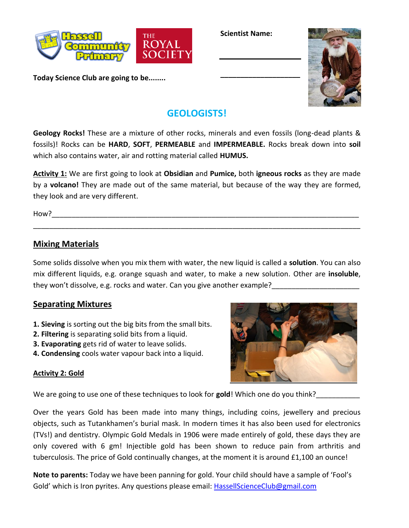

**Today Science Club are going to be........**

**Scientist Name:**

**\_\_\_\_\_\_\_\_\_\_\_\_\_\_\_\_\_\_\_\_**



# **GEOLOGISTS!**

**Geology Rocks!** These are a mixture of other rocks, minerals and even fossils (long-dead plants & fossils)! Rocks can be **HARD**, **SOFT**, **PERMEABLE** and **IMPERMEABLE.** Rocks break down into **soil** which also contains water, air and rotting material called **HUMUS.**

**Activity 1:** We are first going to look at **Obsidian** and **Pumice,** both **igneous rocks** as they are made by a **volcano!** They are made out of the same material, but because of the way they are formed, they look and are very different.

\_\_\_\_\_\_\_\_\_\_\_\_\_\_\_\_\_\_\_\_\_\_\_\_\_\_\_\_\_\_\_\_\_\_\_\_\_\_\_\_\_\_\_\_\_\_\_\_\_\_\_\_\_\_\_\_\_\_\_\_\_\_\_\_\_\_\_\_\_\_\_\_\_\_\_\_\_\_\_\_\_\_

How?\_\_\_\_\_\_\_\_\_\_\_\_\_\_\_\_\_\_\_\_\_\_\_\_\_\_\_\_\_\_\_\_\_\_\_\_\_\_\_\_\_\_\_\_\_\_\_\_\_\_\_\_\_\_\_\_\_\_\_\_\_\_\_\_\_\_\_\_\_\_\_\_\_\_\_\_\_

## **Mixing Materials**

Some solids dissolve when you mix them with water, the new liquid is called a **solution**. You can also mix different liquids, e.g. orange squash and water, to make a new solution. Other are **insoluble**, they won't dissolve, e.g. rocks and water. Can you give another example?

### **Separating Mixtures**

- **1. Sieving** is sorting out the big bits from the small bits.
- **2. Filtering** is separating solid bits from a liquid.
- **3. Evaporating** gets rid of water to leave solids.
- **4. Condensing** cools water vapour back into a liquid.



#### **Activity 2: Gold**

We are going to use one of these techniques to look for gold! Which one do you think?

Over the years Gold has been made into many things, including coins, jewellery and precious objects, such as Tutankhamen's burial mask. In modern times it has also been used for electronics (TVs!) and dentistry. Olympic Gold Medals in 1906 were made entirely of gold, these days they are only covered with 6 gm! Injectible gold has been shown to reduce pain from arthritis and tuberculosis. The price of Gold continually changes, at the moment it is around £1,100 an ounce!

**Note to parents:** Today we have been panning for gold. Your child should have a sample of 'Fool's Gold' which is Iron pyrites. Any questions please email: **HassellScienceClub@gmail.com**